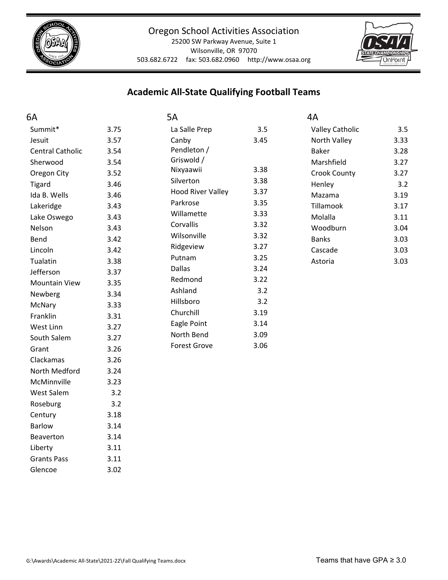

25200 SW Parkway Avenue, Suite 1 Wilsonville, OR 97070 503.682.6722 fax: 503.682.0960 http://www.osaa.org



## **Academic All‐State Qualifying Football Teams**

| 6A                      |      | 5A                       |      | 4A                     |      |
|-------------------------|------|--------------------------|------|------------------------|------|
| Summit*                 | 3.75 | La Salle Prep            | 3.5  | <b>Valley Catholic</b> | 3.5  |
| Jesuit                  | 3.57 | Canby                    | 3.45 | North Valley           | 3.33 |
| <b>Central Catholic</b> | 3.54 | Pendleton /              |      | <b>Baker</b>           | 3.28 |
| Sherwood                | 3.54 | Griswold /               |      | Marshfield             | 3.27 |
| Oregon City             | 3.52 | Nixyaawii                | 3.38 | Crook County           | 3.27 |
| <b>Tigard</b>           | 3.46 | Silverton                | 3.38 | Henley                 | 3.2  |
| Ida B. Wells            | 3.46 | <b>Hood River Valley</b> | 3.37 | Mazama                 | 3.19 |
| Lakeridge               | 3.43 | Parkrose                 | 3.35 | Tillamook              | 3.17 |
| Lake Oswego             | 3.43 | Willamette               | 3.33 | Molalla                | 3.11 |
| Nelson                  | 3.43 | Corvallis                | 3.32 | Woodburn               | 3.04 |
| Bend                    | 3.42 | Wilsonville              | 3.32 | <b>Banks</b>           | 3.03 |
| Lincoln                 | 3.42 | Ridgeview                | 3.27 | Cascade                | 3.03 |
| Tualatin                | 3.38 | Putnam                   | 3.25 | Astoria                | 3.03 |
| Jefferson               | 3.37 | <b>Dallas</b>            | 3.24 |                        |      |
| <b>Mountain View</b>    | 3.35 | Redmond                  | 3.22 |                        |      |
| Newberg                 | 3.34 | Ashland                  | 3.2  |                        |      |
| McNary                  | 3.33 | Hillsboro                | 3.2  |                        |      |
| Franklin                | 3.31 | Churchill                | 3.19 |                        |      |
| West Linn               | 3.27 | Eagle Point              | 3.14 |                        |      |
| South Salem             | 3.27 | North Bend               | 3.09 |                        |      |
| Grant                   | 3.26 | <b>Forest Grove</b>      | 3.06 |                        |      |
| Clackamas               | 3.26 |                          |      |                        |      |
| North Medford           | 3.24 |                          |      |                        |      |
| McMinnville             | 3.23 |                          |      |                        |      |
| West Salem              | 3.2  |                          |      |                        |      |
| Roseburg                | 3.2  |                          |      |                        |      |
| Century                 | 3.18 |                          |      |                        |      |
| <b>Barlow</b>           | 3.14 |                          |      |                        |      |
| Beaverton               | 3.14 |                          |      |                        |      |

Liberty 3.11 Grants Pass 3.11 Glencoe 3.02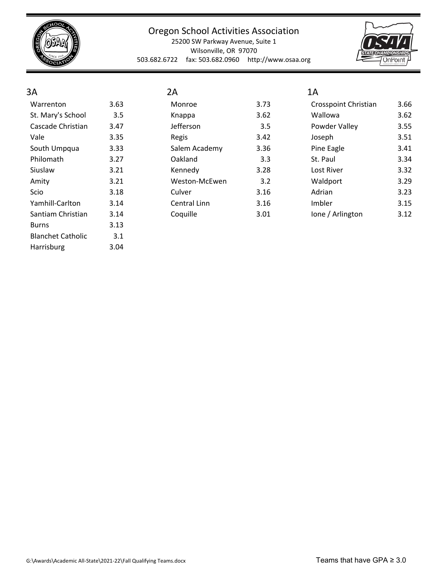

25200 SW Parkway Avenue, Suite 1 Wilsonville, OR 97070 503.682.6722 fax: 503.682.0960 http://www.osaa.org



#### 3A Warrenton 3.63 St. Mary's School 3.5 Cascade Christian 3.47 Vale 3.35 South Umpqua 3.33 Philomath 3.27 Siuslaw 3.21 Amity 3.21 Scio 3.18 Yamhill-Carlton 3.14 Santiam Christian 3.14 Burns 3.13 Blanchet Catholic 3.1 Harrisburg 3.04

| 2А                  |      |
|---------------------|------|
| Monroe              | 3.73 |
| Knappa              | 3.62 |
| Jefferson           | 3.5  |
| Regis               | 3.42 |
| Salem Academy       | 3.36 |
| Oakland             | 3.3  |
| Kennedv             | 3.28 |
| Weston-McEwen       | 3.2  |
| Culver              | 3.16 |
| <b>Central Linn</b> | 3.16 |
| Coquille            | 3.01 |

# 1A

| Crosspoint Christian | 3.66 |
|----------------------|------|
| Wallowa              | 3.62 |
| Powder Valley        | 3.55 |
| Joseph               | 3.51 |
| Pine Eagle           | 3.41 |
| St. Paul             | 3.34 |
| Lost River           | 3.32 |
| Waldport             | 3.29 |
| Adrian               | 3.23 |
| Imbler               | 3.15 |
| Ione / Arlington     | 3.12 |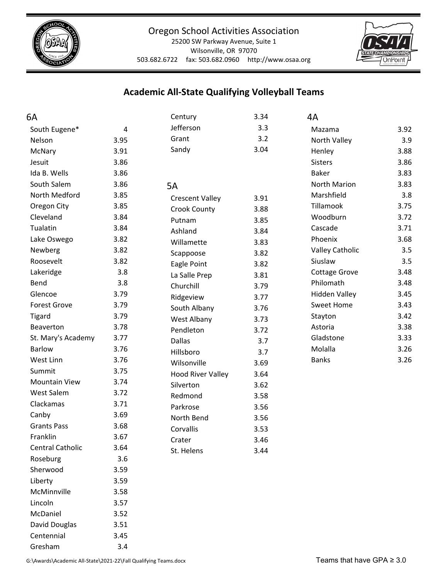



#### Wilsonville, OR 97070

503.682.6722 fax: 503.682.0960 http://www.osaa.org

## **Academic All‐State Qualifying Volleyball Teams**

| 6A                   |                | Century                  | 3.34 | 4A                     |      |
|----------------------|----------------|--------------------------|------|------------------------|------|
| South Eugene*        | $\overline{4}$ | Jefferson                | 3.3  | Mazama                 | 3.92 |
| Nelson               | 3.95           | Grant                    | 3.2  | North Valley           | 3.9  |
| McNary               | 3.91           | Sandy                    | 3.04 | Henley                 | 3.88 |
| Jesuit               | 3.86           |                          |      | <b>Sisters</b>         | 3.86 |
| Ida B. Wells         | 3.86           |                          |      | <b>Baker</b>           | 3.83 |
| South Salem          | 3.86           | 5A                       |      | North Marion           | 3.83 |
| North Medford        | 3.85           | <b>Crescent Valley</b>   | 3.91 | Marshfield             | 3.8  |
| Oregon City          | 3.85           | <b>Crook County</b>      | 3.88 | Tillamook              | 3.75 |
| Cleveland            | 3.84           | Putnam                   | 3.85 | Woodburn               | 3.72 |
| Tualatin             | 3.84           | Ashland                  | 3.84 | Cascade                | 3.71 |
| Lake Oswego          | 3.82           | Willamette               | 3.83 | Phoenix                | 3.68 |
| Newberg              | 3.82           | Scappoose                | 3.82 | <b>Valley Catholic</b> | 3.5  |
| Roosevelt            | 3.82           | Eagle Point              | 3.82 | Siuslaw                | 3.5  |
| Lakeridge            | 3.8            | La Salle Prep            | 3.81 | <b>Cottage Grove</b>   | 3.48 |
| Bend                 | 3.8            | Churchill                | 3.79 | Philomath              | 3.48 |
| Glencoe              | 3.79           | Ridgeview                | 3.77 | <b>Hidden Valley</b>   | 3.45 |
| <b>Forest Grove</b>  | 3.79           | South Albany             | 3.76 | <b>Sweet Home</b>      | 3.43 |
| <b>Tigard</b>        | 3.79           | West Albany              | 3.73 | Stayton                | 3.42 |
| Beaverton            | 3.78           | Pendleton                | 3.72 | Astoria                | 3.38 |
| St. Mary's Academy   | 3.77           | <b>Dallas</b>            | 3.7  | Gladstone              | 3.33 |
| <b>Barlow</b>        | 3.76           | Hillsboro                | 3.7  | Molalla                | 3.26 |
| West Linn            | 3.76           | Wilsonville              | 3.69 | <b>Banks</b>           | 3.26 |
| Summit               | 3.75           | <b>Hood River Valley</b> | 3.64 |                        |      |
| <b>Mountain View</b> | 3.74           | Silverton                | 3.62 |                        |      |
| <b>West Salem</b>    | 3.72           | Redmond                  | 3.58 |                        |      |
| Clackamas            | 3.71           | Parkrose                 | 3.56 |                        |      |
| Canby                | 3.69           | North Bend               | 3.56 |                        |      |
| <b>Grants Pass</b>   | 3.68           | Corvallis                | 3.53 |                        |      |
| Franklin             | 3.67           | Crater                   | 3.46 |                        |      |
| Central Catholic     | 3.64           | St. Helens               | 3.44 |                        |      |
| Roseburg             | 3.6            |                          |      |                        |      |
| Sherwood             | 3.59           |                          |      |                        |      |
| Liberty              | 3.59           |                          |      |                        |      |
| McMinnville          | 3.58           |                          |      |                        |      |
| Lincoln              | 3.57           |                          |      |                        |      |
| McDaniel             | 3.52           |                          |      |                        |      |
| David Douglas        | 3.51           |                          |      |                        |      |
| Centennial           | 3.45           |                          |      |                        |      |

Gresham 3.4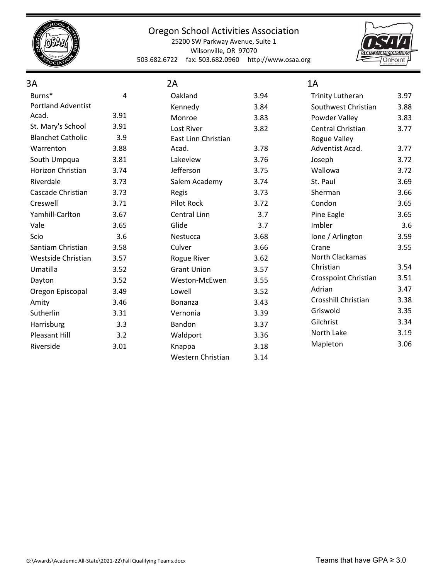

25200 SW Parkway Avenue, Suite 1 Wilsonville, OR 97070 503.682.6722 fax: 503.682.0960 http://www.osaa.org



| 3A                        |      | 2A                  |      | 1A                      |      |
|---------------------------|------|---------------------|------|-------------------------|------|
| Burns*                    | 4    | Oakland             | 3.94 | <b>Trinity Lutheran</b> | 3.97 |
| <b>Portland Adventist</b> |      | Kennedy             | 3.84 | Southwest Christian     | 3.88 |
| Acad.                     | 3.91 | Monroe              | 3.83 | Powder Valley           | 3.83 |
| St. Mary's School         | 3.91 | Lost River          | 3.82 | Central Christian       | 3.77 |
| <b>Blanchet Catholic</b>  | 3.9  | East Linn Christian |      | Rogue Valley            |      |
| Warrenton                 | 3.88 | Acad.               | 3.78 | Adventist Acad.         | 3.77 |
| South Umpqua              | 3.81 | Lakeview            | 3.76 | Joseph                  | 3.72 |
| <b>Horizon Christian</b>  | 3.74 | Jefferson           | 3.75 | Wallowa                 | 3.72 |
| Riverdale                 | 3.73 | Salem Academy       | 3.74 | St. Paul                | 3.69 |
| Cascade Christian         | 3.73 | Regis               | 3.73 | Sherman                 | 3.66 |
| Creswell                  | 3.71 | Pilot Rock          | 3.72 | Condon                  | 3.65 |
| Yamhill-Carlton           | 3.67 | Central Linn        | 3.7  | Pine Eagle              | 3.65 |
| Vale                      | 3.65 | Glide               | 3.7  | Imbler                  | 3.6  |
| Scio                      | 3.6  | Nestucca            | 3.68 | Ione / Arlington        | 3.59 |
| Santiam Christian         | 3.58 | Culver              | 3.66 | Crane                   | 3.55 |
| Westside Christian        | 3.57 | Rogue River         | 3.62 | North Clackamas         |      |
| Umatilla                  | 3.52 | <b>Grant Union</b>  | 3.57 | Christian               | 3.54 |
| Dayton                    | 3.52 | Weston-McEwen       | 3.55 | Crosspoint Christian    | 3.51 |
| Oregon Episcopal          | 3.49 | Lowell              | 3.52 | Adrian                  | 3.47 |
| Amity                     | 3.46 | Bonanza             | 3.43 | Crosshill Christian     | 3.38 |
| Sutherlin                 | 3.31 | Vernonia            | 3.39 | Griswold                | 3.35 |
| Harrisburg                | 3.3  | Bandon              | 3.37 | Gilchrist               | 3.34 |
| Pleasant Hill             | 3.2  | Waldport            | 3.36 | North Lake              | 3.19 |
| Riverside                 | 3.01 | Knappa              | 3.18 | Mapleton                | 3.06 |
|                           |      | Western Christian   | 3.14 |                         |      |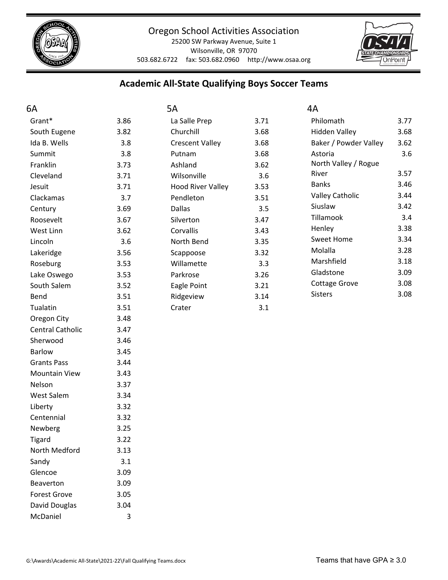

25200 SW Parkway Avenue, Suite 1 Wilsonville, OR 97070 503.682.6722 fax: 503.682.0960 http://www.osaa.org



## **Academic All‐State Qualifying Boys Soccer Teams**

| 6A                      |      | 5A                       |      | 4A                     |      |
|-------------------------|------|--------------------------|------|------------------------|------|
| Grant*                  | 3.86 | La Salle Prep            | 3.71 | Philomath              | 3.77 |
| South Eugene            | 3.82 | Churchill                | 3.68 | <b>Hidden Valley</b>   | 3.68 |
| Ida B. Wells            | 3.8  | <b>Crescent Valley</b>   | 3.68 | Baker / Powder Valley  | 3.62 |
| Summit                  | 3.8  | Putnam                   | 3.68 | Astoria                | 3.6  |
| Franklin                | 3.73 | Ashland                  | 3.62 | North Valley / Rogue   |      |
| Cleveland               | 3.71 | Wilsonville              | 3.6  | River                  | 3.57 |
| Jesuit                  | 3.71 | <b>Hood River Valley</b> | 3.53 | <b>Banks</b>           | 3.46 |
| Clackamas               | 3.7  | Pendleton                | 3.51 | <b>Valley Catholic</b> | 3.44 |
| Century                 | 3.69 | <b>Dallas</b>            | 3.5  | Siuslaw                | 3.42 |
| Roosevelt               | 3.67 | Silverton                | 3.47 | Tillamook              | 3.4  |
| West Linn               | 3.62 | Corvallis                | 3.43 | Henley                 | 3.38 |
| Lincoln                 | 3.6  | North Bend               | 3.35 | <b>Sweet Home</b>      | 3.34 |
| Lakeridge               | 3.56 | Scappoose                | 3.32 | Molalla                | 3.28 |
| Roseburg                | 3.53 | Willamette               | 3.3  | Marshfield             | 3.18 |
| Lake Oswego             | 3.53 | Parkrose                 | 3.26 | Gladstone              | 3.09 |
| South Salem             | 3.52 | Eagle Point              | 3.21 | <b>Cottage Grove</b>   | 3.08 |
| Bend                    | 3.51 | Ridgeview                | 3.14 | <b>Sisters</b>         | 3.08 |
| Tualatin                | 3.51 | Crater                   | 3.1  |                        |      |
| Oregon City             | 3.48 |                          |      |                        |      |
| <b>Central Catholic</b> | 3.47 |                          |      |                        |      |
| Sherwood                | 3.46 |                          |      |                        |      |
| <b>Barlow</b>           | 3.45 |                          |      |                        |      |
| <b>Grants Pass</b>      | 3.44 |                          |      |                        |      |
| <b>Mountain View</b>    | 3.43 |                          |      |                        |      |
| Nelson                  | 3.37 |                          |      |                        |      |
| <b>West Salem</b>       | 3.34 |                          |      |                        |      |
| Liberty                 | 3.32 |                          |      |                        |      |
| Centennial              | 3.32 |                          |      |                        |      |
| Newberg                 | 3.25 |                          |      |                        |      |
| <b>Tigard</b>           | 3.22 |                          |      |                        |      |
| North Medford           | 3.13 |                          |      |                        |      |
| Sandy                   | 3.1  |                          |      |                        |      |
| Glencoe                 | 3.09 |                          |      |                        |      |
| Beaverton               | 3.09 |                          |      |                        |      |
| <b>Forest Grove</b>     | 3.05 |                          |      |                        |      |
| David Douglas           | 3.04 |                          |      |                        |      |

McDaniel 3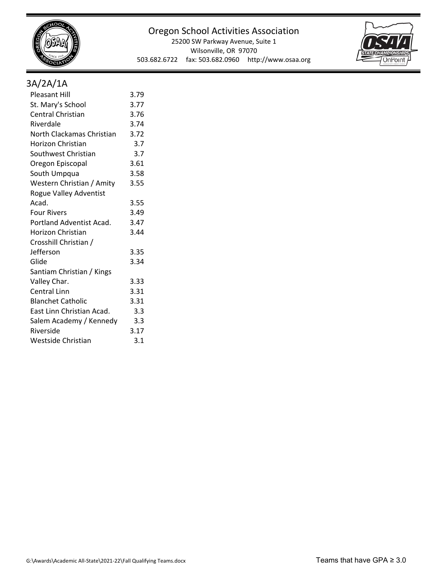

25200 SW Parkway Avenue, Suite 1 Wilsonville, OR 97070 503.682.6722 fax: 503.682.0960 http://www.osaa.org



## 3A/2A/1A

| <b>Pleasant Hill</b>      | 3.79 |
|---------------------------|------|
| St. Mary's School         | 3.77 |
| Central Christian         | 3.76 |
| Riverdale                 | 3.74 |
| North Clackamas Christian | 3.72 |
| <b>Horizon Christian</b>  | 3.7  |
| Southwest Christian       | 3.7  |
| Oregon Episcopal          | 3.61 |
| South Umpqua              | 3.58 |
| Western Christian / Amity | 3.55 |
| Rogue Valley Adventist    |      |
| Acad.                     | 3.55 |
| <b>Four Rivers</b>        | 3.49 |
| Portland Adventist Acad.  | 3.47 |
| Horizon Christian         | 3.44 |
| Crosshill Christian /     |      |
| Jefferson                 | 3.35 |
| Glide                     | 3.34 |
| Santiam Christian / Kings |      |
| Valley Char.              | 3.33 |
| Central Linn              | 3.31 |
| <b>Blanchet Catholic</b>  | 3.31 |
| East Linn Christian Acad. | 3.3  |
| Salem Academy / Kennedy   | 3.3  |
| Riverside                 | 3.17 |
| Westside Christian        | 3.1  |
|                           |      |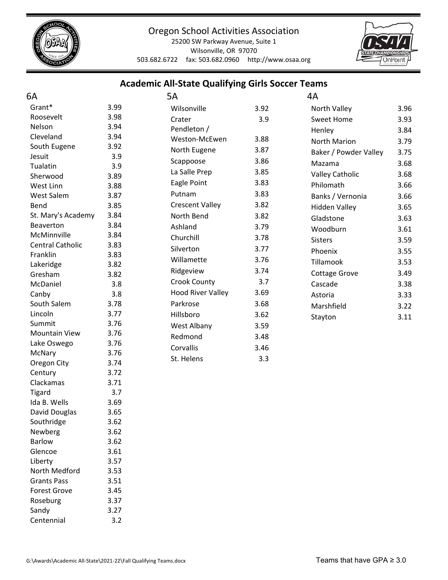

25200 SW Parkway Avenue, Suite 1 Wilsonville, OR 97070 503.682.6722 fax: 503.682.0960 http://www.osaa.org



#### **Academic All‐State Qualifying Girls Soccer Teams**

| 6A                                     |              | 5A                       |      | 4A                     |      |
|----------------------------------------|--------------|--------------------------|------|------------------------|------|
| Grant*                                 | 3.99         | Wilsonville              | 3.92 | North Valley           | 3.96 |
| Roosevelt                              | 3.98         | Crater                   | 3.9  | <b>Sweet Home</b>      | 3.93 |
| Nelson                                 | 3.94         | Pendleton /              |      | Henley                 | 3.84 |
| Cleveland                              | 3.94         | Weston-McEwen            | 3.88 | <b>North Marion</b>    | 3.79 |
| South Eugene                           | 3.92         | North Eugene             | 3.87 | Baker / Powder Valley  | 3.75 |
| Jesuit                                 | 3.9          | Scappoose                | 3.86 |                        |      |
| Tualatin                               | 3.9          | La Salle Prep            | 3.85 | Mazama                 | 3.68 |
| Sherwood                               | 3.89         | Eagle Point              | 3.83 | <b>Valley Catholic</b> | 3.68 |
| West Linn                              | 3.88         |                          |      | Philomath              | 3.66 |
| West Salem                             | 3.87         | Putnam                   | 3.83 | Banks / Vernonia       | 3.66 |
| Bend                                   | 3.85         | <b>Crescent Valley</b>   | 3.82 | <b>Hidden Valley</b>   | 3.65 |
| St. Mary's Academy                     | 3.84         | North Bend               | 3.82 | Gladstone              | 3.63 |
| Beaverton                              | 3.84         | Ashland                  | 3.79 | Woodburn               | 3.61 |
| McMinnville<br><b>Central Catholic</b> | 3.84<br>3.83 | Churchill                | 3.78 | <b>Sisters</b>         | 3.59 |
| Franklin                               | 3.83         | Silverton                | 3.77 | Phoenix                | 3.55 |
| Lakeridge                              | 3.82         | Willamette               | 3.76 | Tillamook              | 3.53 |
| Gresham                                | 3.82         | Ridgeview                | 3.74 | <b>Cottage Grove</b>   | 3.49 |
| McDaniel                               | 3.8          | <b>Crook County</b>      | 3.7  | Cascade                | 3.38 |
| Canby                                  | 3.8          | <b>Hood River Valley</b> | 3.69 | Astoria                | 3.33 |
| South Salem                            | 3.78         | Parkrose                 | 3.68 | Marshfield             | 3.22 |
| Lincoln                                | 3.77         | Hillsboro                | 3.62 |                        | 3.11 |
| Summit                                 | 3.76         | West Albany              | 3.59 | Stayton                |      |
| <b>Mountain View</b>                   | 3.76         | Redmond                  | 3.48 |                        |      |
| Lake Oswego                            | 3.76         | Corvallis                | 3.46 |                        |      |
| McNary                                 | 3.76         |                          |      |                        |      |
| Oregon City                            | 3.74         | St. Helens               | 3.3  |                        |      |
| Century                                | 3.72         |                          |      |                        |      |
| Clackamas                              | 3.71         |                          |      |                        |      |
| <b>Tigard</b>                          | 3.7          |                          |      |                        |      |
| Ida B. Wells                           | 3.69         |                          |      |                        |      |
| David Douglas                          | 3.65         |                          |      |                        |      |
| Southridge                             | 3.62         |                          |      |                        |      |
| Newberg                                | 3.62         |                          |      |                        |      |
| Barlow                                 | 3.62         |                          |      |                        |      |
| Glencoe                                | 3.61         |                          |      |                        |      |
| Liberty                                | 3.57         |                          |      |                        |      |
| North Medford                          | 3.53         |                          |      |                        |      |
| <b>Grants Pass</b>                     | 3.51         |                          |      |                        |      |
| <b>Forest Grove</b>                    | 3.45         |                          |      |                        |      |
| Roseburg                               | 3.37         |                          |      |                        |      |

Sandy 3.27 Centennial 3.2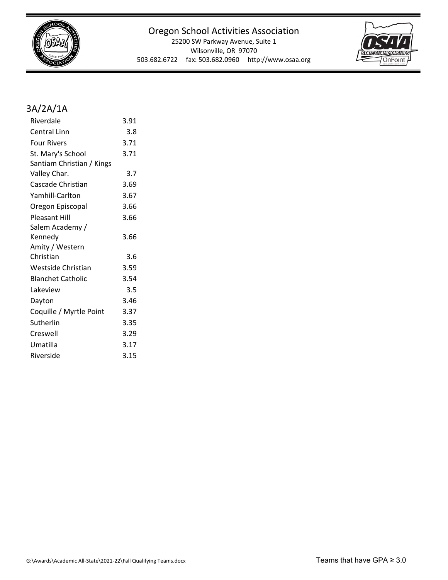

25200 SW Parkway Avenue, Suite 1 Wilsonville, OR 97070 503.682.6722 fax: 503.682.0960 http://www.osaa.org



## 3A/2A/1A

| Riverdale                 | 3.91 |
|---------------------------|------|
| <b>Central Linn</b>       | 3.8  |
| <b>Four Rivers</b>        | 3.71 |
| St. Mary's School         | 3.71 |
| Santiam Christian / Kings |      |
| Valley Char.              | 3.7  |
| Cascade Christian         | 3.69 |
| Yamhill-Carlton           | 3.67 |
| Oregon Episcopal          | 3.66 |
| Pleasant Hill             | 3.66 |
| Salem Academy /           |      |
| Kennedy                   | 3.66 |
| Amity / Western           |      |
| Christian                 | 3.6  |
| <b>Westside Christian</b> | 3.59 |
| <b>Blanchet Catholic</b>  | 3.54 |
| Lakeview                  | 3.5  |
| Dayton                    | 3.46 |
| Coquille / Myrtle Point   | 3.37 |
| Sutherlin                 | 3.35 |
| Creswell                  | 3.29 |
| Umatilla                  | 3.17 |
| Riverside                 | 3.15 |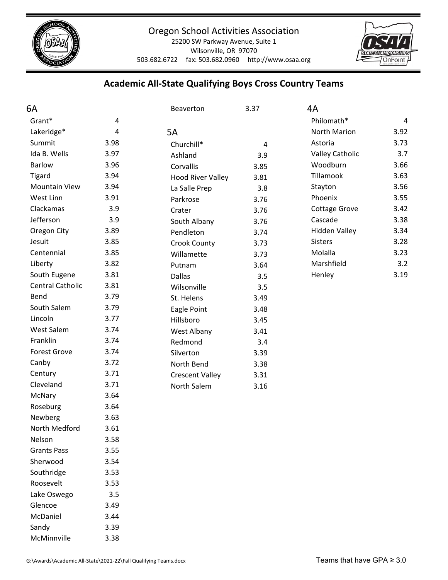

Wilsonville, OR 97070

503.682.6722 fax: 503.682.0960 http://www.osaa.org



## **Academic All‐State Qualifying Boys Cross Country Teams**

| 6A                   |      | Beaverton                | 3.37           | 4A                     |      |
|----------------------|------|--------------------------|----------------|------------------------|------|
| Grant*               | 4    |                          |                | Philomath*             | 4    |
| Lakeridge*           | 4    | 5A                       |                | North Marion           | 3.92 |
| Summit               | 3.98 | Churchill*               | $\overline{4}$ | Astoria                | 3.73 |
| Ida B. Wells         | 3.97 | Ashland                  | 3.9            | <b>Valley Catholic</b> | 3.7  |
| <b>Barlow</b>        | 3.96 | Corvallis                | 3.85           | Woodburn               | 3.66 |
| <b>Tigard</b>        | 3.94 | <b>Hood River Valley</b> | 3.81           | Tillamook              | 3.63 |
| <b>Mountain View</b> | 3.94 | La Salle Prep            | 3.8            | Stayton                | 3.56 |
| West Linn            | 3.91 | Parkrose                 | 3.76           | Phoenix                | 3.55 |
| Clackamas            | 3.9  | Crater                   | 3.76           | <b>Cottage Grove</b>   | 3.42 |
| Jefferson            | 3.9  | South Albany             | 3.76           | Cascade                | 3.38 |
| Oregon City          | 3.89 | Pendleton                | 3.74           | <b>Hidden Valley</b>   | 3.34 |
| Jesuit               | 3.85 | Crook County             | 3.73           | <b>Sisters</b>         | 3.28 |
| Centennial           | 3.85 | Willamette               | 3.73           | Molalla                | 3.23 |
| Liberty              | 3.82 | Putnam                   | 3.64           | Marshfield             | 3.2  |
| South Eugene         | 3.81 | <b>Dallas</b>            | 3.5            | Henley                 | 3.19 |
| Central Catholic     | 3.81 | Wilsonville              | 3.5            |                        |      |
| Bend                 | 3.79 | St. Helens               | 3.49           |                        |      |
| South Salem          | 3.79 | Eagle Point              | 3.48           |                        |      |
| Lincoln              | 3.77 | Hillsboro                | 3.45           |                        |      |
| <b>West Salem</b>    | 3.74 | West Albany              | 3.41           |                        |      |
| Franklin             | 3.74 | Redmond                  | 3.4            |                        |      |
| <b>Forest Grove</b>  | 3.74 | Silverton                | 3.39           |                        |      |
| Canby                | 3.72 | North Bend               | 3.38           |                        |      |
| Century              | 3.71 | <b>Crescent Valley</b>   | 3.31           |                        |      |
| Cleveland            | 3.71 | North Salem              | 3.16           |                        |      |
| McNary               | 3.64 |                          |                |                        |      |
| Roseburg             | 3.64 |                          |                |                        |      |
| Newberg              | 3.63 |                          |                |                        |      |
| North Medford        | 3.61 |                          |                |                        |      |
| Nelson               | 3.58 |                          |                |                        |      |
| <b>Grants Pass</b>   | 3.55 |                          |                |                        |      |
| Sherwood             | 3.54 |                          |                |                        |      |
| Southridge           | 3.53 |                          |                |                        |      |
| Roosevelt            | 3.53 |                          |                |                        |      |
| Lake Oswego          | 3.5  |                          |                |                        |      |
| Glencoe              | 3.49 |                          |                |                        |      |
| McDaniel             | 3.44 |                          |                |                        |      |
| Sandy                | 3.39 |                          |                |                        |      |

McMinnville 3.38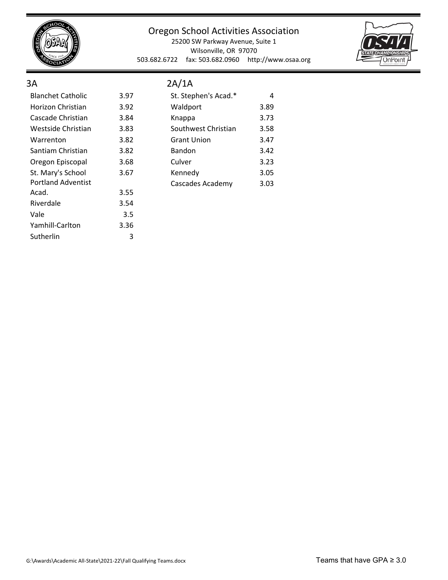

Yamhill-Carlton 3.36 Sutherlin 3

#### Oregon School Activities Association

25200 SW Parkway Avenue, Suite 1 Wilsonville, OR 97070 503.682.6722 fax: 503.682.0960 http://www.osaa.org



#### 3A

## 2A/1A

| <b>Blanchet Catholic</b>  | 3.97 | St. Stephen's Acad.* | 4    |
|---------------------------|------|----------------------|------|
| Horizon Christian         | 3.92 | Waldport             | 3.89 |
| Cascade Christian         | 3.84 | Knappa               | 3.73 |
| Westside Christian        | 3.83 | Southwest Christian  | 3.58 |
| Warrenton                 | 3.82 | <b>Grant Union</b>   | 3.47 |
| Santiam Christian         | 3.82 | Bandon               | 3.42 |
| Oregon Episcopal          | 3.68 | Culver               | 3.23 |
| St. Mary's School         | 3.67 | Kennedy              | 3.05 |
| <b>Portland Adventist</b> |      | Cascades Academy     | 3.03 |
| Acad.                     | 3.55 |                      |      |
| Riverdale                 | 3.54 |                      |      |
| Vale                      | 3.5  |                      |      |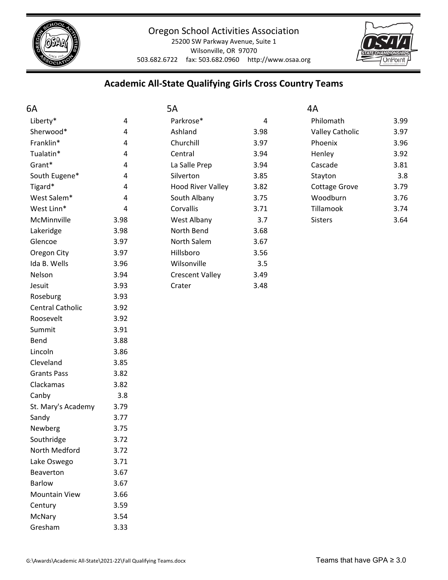

25200 SW Parkway Avenue, Suite 1 Wilsonville, OR 97070 503.682.6722 fax: 503.682.0960 http://www.osaa.org



## **Academic All‐State Qualifying Girls Cross Country Teams**

| 6A                   |      | 5A                       |            | 4A                     |      |
|----------------------|------|--------------------------|------------|------------------------|------|
| Liberty*             | 4    | Parkrose*                | $\sqrt{4}$ | Philomath              | 3.99 |
| Sherwood*            | 4    | Ashland                  | 3.98       | <b>Valley Catholic</b> | 3.97 |
| Franklin*            | 4    | Churchill                | 3.97       | Phoenix                | 3.96 |
| Tualatin*            | 4    | Central                  | 3.94       | Henley                 | 3.92 |
| Grant*               | 4    | La Salle Prep            | 3.94       | Cascade                | 3.81 |
| South Eugene*        | 4    | Silverton                | 3.85       | Stayton                | 3.8  |
| Tigard*              | 4    | <b>Hood River Valley</b> | 3.82       | <b>Cottage Grove</b>   | 3.79 |
| West Salem*          | 4    | South Albany             | 3.75       | Woodburn               | 3.76 |
| West Linn*           | 4    | Corvallis                | 3.71       | Tillamook              | 3.74 |
| McMinnville          | 3.98 | West Albany              | 3.7        | Sisters                | 3.64 |
| Lakeridge            | 3.98 | North Bend               | 3.68       |                        |      |
| Glencoe              | 3.97 | North Salem              | 3.67       |                        |      |
| Oregon City          | 3.97 | Hillsboro                | 3.56       |                        |      |
| Ida B. Wells         | 3.96 | Wilsonville              | 3.5        |                        |      |
| Nelson               | 3.94 | <b>Crescent Valley</b>   | 3.49       |                        |      |
| Jesuit               | 3.93 | Crater                   | 3.48       |                        |      |
| Roseburg             | 3.93 |                          |            |                        |      |
| Central Catholic     | 3.92 |                          |            |                        |      |
| Roosevelt            | 3.92 |                          |            |                        |      |
| Summit               | 3.91 |                          |            |                        |      |
| Bend                 | 3.88 |                          |            |                        |      |
| Lincoln              | 3.86 |                          |            |                        |      |
| Cleveland            | 3.85 |                          |            |                        |      |
| <b>Grants Pass</b>   | 3.82 |                          |            |                        |      |
| Clackamas            | 3.82 |                          |            |                        |      |
| Canby                | 3.8  |                          |            |                        |      |
| St. Mary's Academy   | 3.79 |                          |            |                        |      |
| Sandy                | 3.77 |                          |            |                        |      |
| Newberg              | 3.75 |                          |            |                        |      |
| Southridge           | 3.72 |                          |            |                        |      |
| North Medford        | 3.72 |                          |            |                        |      |
| Lake Oswego          | 3.71 |                          |            |                        |      |
| Beaverton            | 3.67 |                          |            |                        |      |
| <b>Barlow</b>        | 3.67 |                          |            |                        |      |
| <b>Mountain View</b> | 3.66 |                          |            |                        |      |
| Century              | 3.59 |                          |            |                        |      |
| McNary               | 3.54 |                          |            |                        |      |
| Gresham              | 3.33 |                          |            |                        |      |